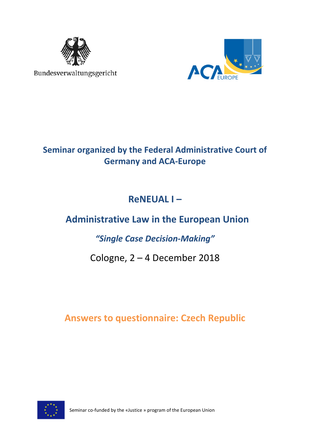

Bundesverwaltungsgericht



## **Seminar organized by the Federal Administrative Court of Germany and ACA-Europe**

# **ReNEUAL I –**

# **Administrative Law in the European Union**

### *"Single Case Decision-Making"*

### Cologne, 2 – 4 December 2018

### **Answers to questionnaire: Czech Republic**



Seminar co-funded by the «Justice » program of the European Union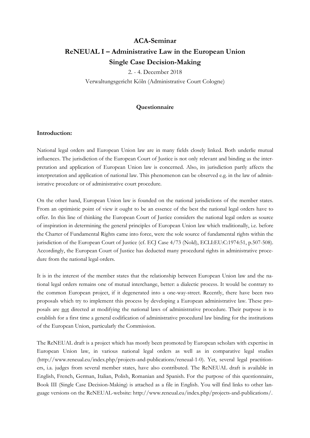### **ACA-Seminar ReNEUAL I – Administrative Law in the European Union Single Case Decision-Making**

2. - 4. December 2018 Verwaltungsgericht Köln (Administrative Court Cologne)

#### **Questionnaire**

#### **Introduction:**

National legal orders and European Union law are in many fields closely linked. Both underlie mutual influences. The jurisdiction of the European Court of Justice is not only relevant and binding as the interpretation and application of European Union law is concerned. Also, its jurisdiction partly affects the interpretation and application of national law. This phenomenon can be observed e.g. in the law of administrative procedure or of administrative court procedure.

On the other hand, European Union law is founded on the national jurisdictions of the member states. From an optimistic point of view it ought to be an essence of the best the national legal orders have to offer. In this line of thinking the European Court of Justice considers the national legal orders as source of inspiration in determining the general principles of European Union law which traditionally, i.e. before the Charter of Fundamental Rights came into force, were the sole source of fundamental rights within the jurisdiction of the European Court of Justice (cf. ECJ Case 4/73 (Nold), ECLI:EU:C:1974:51, p.507-508). Accordingly, the European Court of Justice has deducted many procedural rights in administrative procedure from the national legal orders.

It is in the interest of the member states that the relationship between European Union law and the national legal orders remains one of mutual interchange, better: a dialectic process. It would be contrary to the common European project, if it degenerated into a one-way-street. Recently, there have been two proposals which try to implement this process by developing a European administrative law. These proposals are not directed at modifying the national laws of administrative procedure. Their purpose is to establish for a first time a general codification of administrative procedural law binding for the institutions of the European Union, particularly the Commission.

The ReNEUAL draft is a project which has mostly been promoted by European scholars with expertise in European Union law, in various national legal orders as well as in comparative legal studies (http://www.reneual.eu/index.php/projects-and-publications/reneual-1-0). Yet, several legal practitioners, i.a. judges from several member states, have also contributed. The ReNEUAL draft is available in English, French, German, Italian, Polish, Romanian and Spanish. For the purpose of this questionnaire, Book III (Single Case Decision-Making) is attached as a file in English. You will find links to other language versions on the ReNEUAL-website: http://www.reneual.eu/index.php/projects-and-publications/.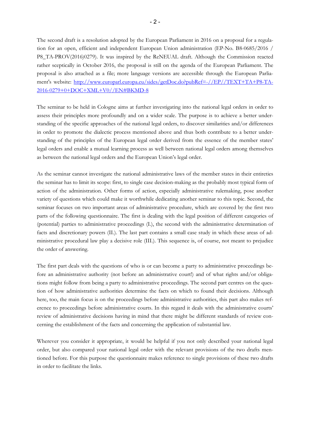The second draft is a resolution adopted by the European Parliament in 2016 on a proposal for a regulation for an open, efficient and independent European Union administration (EP-No. B8-0685/2016 / P8\_TA-PROV(2016)0279). It was inspired by the ReNEUAL draft. Although the Commission reacted rather sceptically in October 2016, the proposal is still on the agenda of the European Parliament. The proposal is also attached as a file; more language versions are accessible through the European Parliament's website: http://www.europarl.europa.eu/sides/getDoc.do?pubRef=-//EP//TEXT+TA+P8-TA-2016-0279+0+DOC+XML+V0//EN#BKMD-8

The seminar to be held in Cologne aims at further investigating into the national legal orders in order to assess their principles more profoundly and on a wider scale. The purpose is to achieve a better understanding of the specific approaches of the national legal orders, to discover similarities and/or differences in order to promote the dialectic process mentioned above and thus both contribute to a better understanding of the principles of the European legal order derived from the essence of the member states' legal orders and enable a mutual learning process as well between national legal orders among themselves as between the national legal orders and the European Union's legal order.

As the seminar cannot investigate the national administrative laws of the member states in their entireties the seminar has to limit its scope: first, to single case decision-making as the probably most typical form of action of the administration. Other forms of action, especially administrative rulemaking, pose another variety of questions which could make it worthwhile dedicating another seminar to this topic. Second, the seminar focuses on two important areas of administrative procedure, which are covered by the first two parts of the following questionnaire. The first is dealing with the legal position of different categories of (potential) parties to administrative proceedings (I.), the second with the administrative determination of facts and discretionary powers (II.). The last part contains a small case study in which these areas of administrative procedural law play a decisive role (III.). This sequence is, of course, not meant to prejudice the order of answering.

The first part deals with the questions of who is or can become a party to administrative proceedings before an administrative authority (not before an administrative court!) and of what rights and/or obligations might follow from being a party to administrative proceedings. The second part centres on the question of how administrative authorities determine the facts on which to found their decisions. Although here, too, the main focus is on the proceedings before administrative authorities, this part also makes reference to proceedings before administrative courts. In this regard it deals with the administrative courts' review of administrative decisions having in mind that there might be different standards of review concerning the establishment of the facts and concerning the application of substantial law.

Wherever you consider it appropriate, it would be helpful if you not only described your national legal order, but also compared your national legal order with the relevant provisions of the two drafts mentioned before. For this purpose the questionnaire makes reference to single provisions of these two drafts in order to facilitate the links.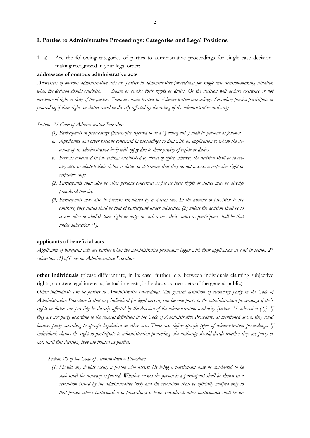#### **I. Parties to Administrative Proceedings: Categories and Legal Positions**

1. a) Are the following categories of parties to administrative proceedings for single case decisionmaking recognized in your legal order:

#### **addressees of onerous administrative acts**

*Addressees of onerous administrative acts are parties to administrative proceedings for single case decision-making situation when the decision should establish, change or revoke their rights or duties. Or the decision will declare existence or not existence of right or duty of the parties. These are main parties to Administrative proceedings. Secondary parties participate in proceeding if their rights or duties could be directly affected by the ruling of the administrative authority.* 

#### *Section 27 Code of Administrative Procedure*

- *(1) Participants in proceedings (hereinafter referred to as a "participant") shall be persons as follows:*
- *a. Applicants and other persons concerned in proceedings to deal with an application to whom the decision of an administrative body will apply due to their privity of rights or duties*
- *b. Persons concerned in proceedings established by virtue of office, whereby the decision shall be to create, alter or abolish their rights or duties or determine that they do not possess a respective right or respective duty*
- *(2) Participants shall also be other persons concerned as far as their rights or duties may be directly prejudiced thereby.*
- *(3) Participants may also be persons stipulated by a special law. In the absence of provision to the contrary, they status shall be that of participant under subsection (2) unless the decision shall be to create, alter or abolish their right or duty; in such a case their status as participant shall be that under subsection (1).*

#### **applicants of beneficial acts**

*Applicants of beneficial acts are parties when the administrative proceeding began with their application as said in section 27 subsection (1) of Code on Administrative Procedure.* 

**other individuals** (please differentiate, in its case, further, e.g. between individuals claiming subjective rights, concrete legal interests, factual interests, individuals as members of the general public)

*Other individuals can be parties to Administrative proceedings. The general definition of secondary party in the Code of Administration Procedure is that any individual (or legal person) can become party to the administration proceedings if their rights or duties can possibly be directly affected by the decision of the administration authority [section 27 subsection (2)]. If they are not party according to the general definition in the Code of Administrative Procedure, as mentioned above, they could became party according to specific legislation in other acts. These acts define specific types of administration proceedings. If individuals claims the right to participate to administration proceeding, the authority should decide whether they are party or not, until this decision, they are treated as parties.* 

#### *Section 28 of the Code of Administrative Procedure*

*(1) Should any doubts occur, a person who asserts his being a participant may be considered to be such until the contrary is proved. Whether or not the person is a participant shall be shown in a resolution issued by the administrative body and the resolution shall be officially notified only to that person whose participation in proceedings is being considered; other participants shall be in-*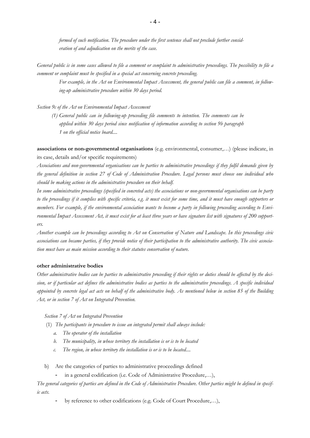*formed of such notification. The procedure under the first sentence shall not preclude further consideration of and adjudication on the merits of the case.* 

*General public is in some cases allowed to file a comment or complaint to administrative proceedings. The possibility to file a comment or complaint must be specified in a special act concerning concrete proceeding.* 

*For example, in the Act on Environmental Impact Assessment, the general public can file a comment, in following-up administrative procedure within 30 days period.* 

*Section 9c of the Act on Environmental Impact Assessment* 

*(1) General public can in following-up proceeding file comments to intention. The comments can be applied within 30 days period since notification of information according to section 9b paragraph 1 on the official notice board....* 

**associations or non-governmental organisations** (e.g. environmental, consumer,…) (please indicate, in its case, details and/or specific requirements)

*Associations and non-governmental organisations can be parties to administrative proceedings if they fulfil demands given by the general definition in section 27 of Code of Administration Procedure. Legal persons must choose one individual who should be making actions in the administrative procedure on their behalf.* 

*In some administrative proceedings (specified in concreted acts) the associations or non-governmental organisations can be party to the proceedings if it complies with specific criteria, e.g. it must exist for some time, and it must have enough supporters or members. For example, if the environmental association wants to become a party in following proceeding according to Environmental Impact Assessment Act, it must exist for at least three years or have signature list with signatures of 200 supporters.* 

*Another example can be proceedings according to Act on Conservation of Nature and Landscape. In this proceedings civic associations can became parties, if they provide notice of their participation to the administrative authority. The civic association must have as main mission according to their statutes conservation of nature.* 

#### **other administrative bodies**

*Other administrative bodies can be parties to administrative proceeding if their rights or duties should be affected by the decision, or if particular act defines the administrative bodies as parties to the administrative proceedings. A specific individual appointed by concrete legal act acts on behalf of the administrative body. As mentioned below in section 85 of the Building Act, or in section 7 of Act on Integrated Prevention.* 

*Section 7 of Act on Integrated Prevention* 

- (1) *The participants in procedure to issue an integrated permit shall always include:* 
	- *a. The operator of the installation*
	- *b. The municipality, in whose territory the installation is or is to be located*
	- *c. The region, in whose territory the installation is or is to be located....*
- b) Are the categories of parties to administrative proceedings defined
	- in a general codification (i.e. Code of Administrative Procedure,...),

*The general categories of parties are defined in the Code of Administrative Procedure. Other parties might be defined in specific acts.* 

by reference to other codifications (e.g. Code of Court Procedure,...),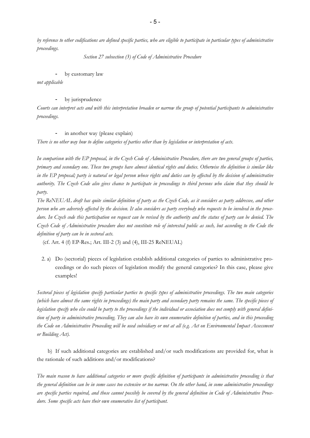*by reference to other codifications are defined specific parties, who are eligible to participate in particular types of administrative proceedings.* 

*Section 27 subsection (3) of Code of Administrative Procedure* 

#### by customary law

*not applicable* 

#### by jurisprudence

*Courts can interpret acts and with this interpretation broaden or narrow the group of potential participants to administrative proceedings.* 

#### in another way (please explain)

*There is no other way how to define categories of parties other than by legislation or interpretation of acts.* 

*In comparison with the EP proposal, in the Czech Code of Administrative Procedure, there are two general groups of parties, primary and secondary one. These two groups have almost identical rights and duties. Otherwise the definition is similar like in the EP proposal; party is natural or legal person whose rights and duties can by affected by the decision of administrative authority. The Czech Code also gives chance to participate in proceedings to third persons who claim that they should be party.* 

*The ReNEUAL draft has quite similar definition of party as the Czech Code, as it considers as party addressee, and other person who are adversely affected by the decision. It also considers as party everybody who requests to be involved in the procedure. In Czech code this participation on request can be revised by the authority and the status of party can be denied. The Czech Code of Administrative procedure does not constitute role of interested public as such, but according to the Code the definition of party can be in sectoral acts.* 

(cf. Art. 4 (f) EP-Res.; Art. III-2 (3) and (4), III-25 ReNEUAL)

2. a) Do (sectorial) pieces of legislation establish additional categories of parties to administrative proceedings or do such pieces of legislation modify the general categories? In this case, please give examples!

*Sectoral pieces of legislation specify particular parties to specific types of administrative proceedings. The two main categories (which have almost the same rights in proceedings) the main party and secondary party remains the same. The specific pieces of legislation specify who else could be party to the proceedings if the individual or association does not comply with general definition of party in administrative proceeding. They can also have its own enumerative definition of parties, and in this proceeding the Code on Administrative Proceeding will be used subsidiary or not at all (e.g. Act on Environmental Impact Assessment or Building Act).* 

 b) If such additional categories are established and/or such modifications are provided for, what is the rationale of such additions and/or modifications?

*The main reason to have additional categories or more specific definition of participants in administrative proceeding is that the general definition can be in some cases too extensive or too narrow. On the other hand, in some administrative proceedings are specific parties required, and those cannot possibly be covered by the general definition in Code of Administrative Procedure. Some specific acts have their own enumerative list of participant.*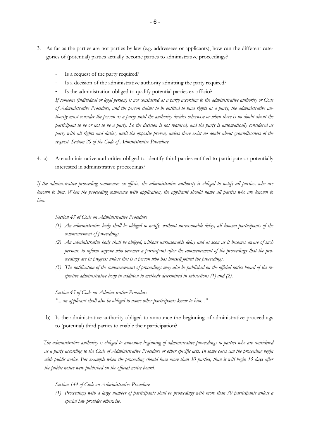- 3. As far as the parties are not parties by law (e.g. addressees or applicants), how can the different categories of (potential) parties actually become parties to administrative proceedings?
	- Is a request of the party required?
	- Is a decision of the administrative authority admitting the party required?
	- Is the administration obliged to qualify potential parties ex officio?

*If someone (individual or legal person) is not considered as a party according to the administrative authority or Code of Administrative Procedure, and the person claims to be entitled to have rights as a party, the administrative authority must consider the person as a party until the authority decides otherwise or when there is no doubt about the participant to be or not to be a party. So the decision is not required, and the party is automatically considered as party with all rights and duties, until the opposite proven, unless there exist no doubt about groundlessness of the request. Section 28 of the Code of Administrative Procedure* 

4. a) Are administrative authorities obliged to identify third parties entitled to participate or potentially interested in administrative proceedings?

*If the administrative proceeding commences ex-officio, the administrative authority is obliged to notify all parties, who are known to him. When the proceeding commence with application, the applicant should name all parties who are known to him.* 

#### *Section 47 of Code on Administrative Procedure*

- *(1) An administrative body shall be obliged to notify, without unreasonable delay, all known participants of the commencement of proceedings.*
- *(2) An administrative body shall be obliged, without unreasonable delay and as soon as it becomes aware of such persons, to inform anyone who becomes a participant after the commencement of the proceedings that the proceedings are in progress unless this is a person who has himself joined the proceedings.*
- *(3) The notification of the commencement of proceedings may also be published on the official notice board of the respective administrative body in addition to methods determined in subsections (1) and (2).*

*Section 45 of Code on Administrative Procedure "....an applicant shall also be obliged to name other participants know to him..."* 

 b) Is the administrative authority obliged to announce the beginning of administrative proceedings to (potential) third parties to enable their participation?

*The administrative authority is obliged to announce beginning of administrative proceedings to parties who are considered as a party according to the Code of Administrative Procedure or other specific acts. In some cases can the proceeding begin*  with public notice. For example when the proceeding should have more than 30 parties, than it will begin 15 days after *the public notice were published on the official notice board.* 

#### *Section 144 of Code on Administrative Procedure*

*(1) Proceedings with a large number of participants shall be proceedings with more than 30 participants unless a special law provides otherwise.*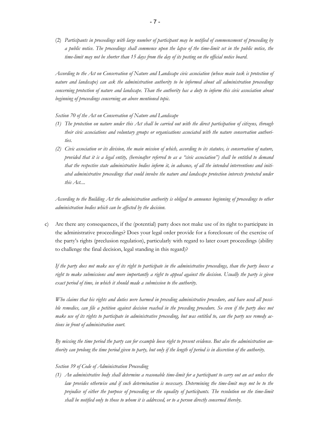(2) *Participants in proceedings with large number of participant may be notified of commencement of proceeding by a public notice. The proceedings shall commence upon the lapse of the time-limit set in the public notice, the time-limit may not be shorter than 15 days from the day of its posting on the official notice board*.

*According to the Act on Conservation of Nature and Landscape civic association (whose main task is protection of nature and landscape) can ask the administration authority to be informed about all administration proceedings concerning protection of nature and landscape. Than the authority has a duty to inform this civic association about beginning of proceedings concerning an above mentioned topic.* 

*Section 70 of the Act on Conservation of Nature and Landscape* 

- *(1) The protection on nature under this Act shall be carried out with the direct participation of citizens, through their civic associations and voluntary groups or organisations associated with the nature conservation authorities.*
- *(2) Civic association or its division, the main mission of which, according to its statutes, is conservation of nature, provided that it is a legal entity, (hereinafter referred to as a "civic association") shall be entitled to demand that the respective state administrative bodies inform it, in advance, of all the intended interventions and initiated administrative proceedings that could involve the nature and landscape protection interests protected under this Act....*

*According to the Building Act the administration authority is obliged to announce beginning of proceedings to other administration bodies which can be affected by the decision.* 

c) Are there any consequences, if the (potential) party does not make use of its right to participate in the administrative proceedings? Does your legal order provide for a foreclosure of the exercise of the party's rights (preclusion regulation), particularly with regard to later court proceedings (ability to challenge the final decision, legal standing in this regard)?

*If the party does not make use of its right to participate in the administrative proceedings, than the party looses a right to make submissions and more importantly a right to appeal against the decision. Usually the party is given exact period of time, in which it should made a submission to the authority.* 

 *Who claims that his rights and duties were harmed in preceding administrative procedure, and have used all possi*ble remedies, can file a petition against decision reached in the preceding procedure. So even if the party does not *make use of its rights to participate in administrative proceeding, but was entitled to, can the party use remedy actions in front of administration court.* 

 *By missing the time period the party can for example loose right to present evidence. But also the administration authority can prolong the time period given to party, but only if the length of period is in discretion of the authority.* 

#### *Section 39 of Code of Administration Proceeding*

*(1) An administrative body shall determine a reasonable time-limit for a participant to carry out an act unless the law provides otherwise and if such determination is necessary. Determining the time-limit may not be to the prejudice of either the purpose of proceeding or the equality of participants. The resolution on the time-limit shall be notified only to those to whom it is addressed, or to a person directly concerned thereby.*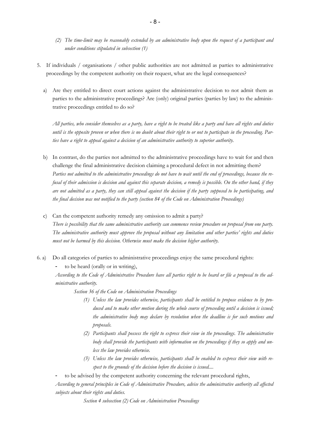- *(2) The time-limit may be reasonably extended by an administrative body upon the request of a participant and under conditions stipulated in subsection (1)*
- 5. If individuals / organisations / other public authorities are not admitted as parties to administrative proceedings by the competent authority on their request, what are the legal consequences?
	- a) Are they entitled to direct court actions against the administrative decision to not admit them as parties to the administrative proceedings? Are (only) original parties (parties by law) to the administrative proceedings entitled to do so?

*All parties, who consider themselves as a party, have a right to be treated like a party and have all rights and duties until is the opposite proven or when there is no doubt about their right to or not to participate in the proceeding. Parties have a right to appeal against a decision of an administrative authority to superior authority.* 

- b) In contrast, do the parties not admitted to the administrative proceedings have to wait for and then challenge the final administrative decision claiming a procedural defect in not admitting them? *Parties not admitted to the administrative proceedings do not have to wait until the end of proceedings, because the refusal of their admission is decision and against this separate decision, a remedy is possible. On the other hand, if they are not admitted as a party, they can still appeal against the decision if the party supposed to be participating, and the final decision was not notified to the party (section 84 of the Code on Administration Proceedings)*
- c) Can the competent authority remedy any omission to admit a party? *There is possibility that the same administrative authority can commence review procedure on proposal from one party. The administrative authority must approve the proposal without any limitation and other parties' rights and duties must not be harmed by this decision. Otherwise must make the decision higher authority.*
- 6. a) Do all categories of parties to administrative proceedings enjoy the same procedural rights:

to be heard (orally or in writing),

*According to the Code of Administrative Procedure have all parties right to be heard or file a proposal to the administrative authority.* 

*Section 36 of the Code on Administration Proceedings*

- *(1) Unless the law provides otherwise, participants shall be entitled to propose evidence to by produced and to make other motion during the whole course of proceeding until a decision is issued; the administrative body may declare by resolution when the deadline is for such motions and proposals.*
- *(2) Participants shall possess the right to express their view in the proceedings. The administrative body shall provide the participants with information on the proceedings if they so apply and unless the law provides otherwise.*
- *(3) Unless the law provides otherwise, participants shall be enabled to express their view with respect to the grounds of the decision before the decision is issued....*
- to be advised by the competent authority concerning the relevant procedural rights,

*According to general principles in Code of Administrative Procedure, advise the administrative authority all affected subjects about their rights and duties.* 

*Section 4 subsection (2) Code on Administration Proceedings*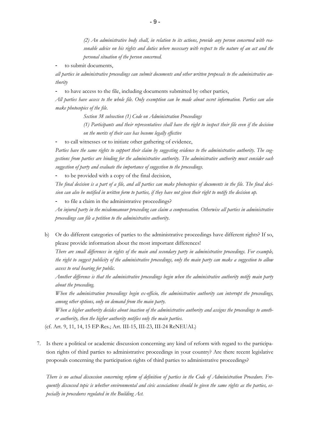*(2) An administrative body shall, in relation to its actions, provide any person concerned with reasonable advice on his rights and duties where necessary with respect to the nature of an act and the personal situation of the person concerned.* 

to submit documents,

*all parties in administrative proceedings can submit documents and other written proposals to the administrative authority* 

to have access to the file, including documents submitted by other parties,

*All parties have access to the whole file. Only exemption can be made about secret information. Parties can also make photocopies of the file.* 

*Section 38 subsection (1) Code on Administration Proceedings* 

*(1) Participants and their representatives shall have the right to inspect their file even if the decision on the merits of their case has become legally effective* 

to call witnesses or to initiate other gathering of evidence,

*Parties have the same rights to support their claim by suggesting evidence to the administrative authority. The suggestions from parties are binding for the administrative authority. The administrative authority must consider each suggestion of party and evaluate the importance of suggestion to the proceedings.* 

to be provided with a copy of the final decision,

*The final decision is a part of a file, and all parties can make photocopies of documents in the file. The final decision can also be notified in written form to parties, if they have not given their right to notify the decision up.* 

to file a claim in the administrative proceedings?

*An injured party in the misdemeanour proceeding can claim a compensation. Otherwise all parties in administrative proceedings can file a petition to the administrative authority*.

b) Or do different categories of parties to the administrative proceedings have different rights? If so, please provide information about the most important differences!

*There are small differences in rights of the main and secondary party in administrative proceedings. For example, the right to suggest publicity of the administrative proceedings, only the main party can make a suggestion to allow access to oral hearing for public.* 

 *Another difference is that the administrative proceedings begin when the administrative authority notify main party about the proceeding.* 

 *When the administration proceedings begin ex-officio, the administrative authority can interrupt the proceedings, among other options, only on demand from the main party.* 

 *When a higher authority decides about inaction of the administrative authority and assigns the proceedings to another authority, then the higher authority notifies only the main parties.* 

(cf. Art. 9, 11, 14, 15 EP-Res.; Art. III-15, III-23, III-24 ReNEUAL)

7. Is there a political or academic discussion concerning any kind of reform with regard to the participation rights of third parties to administrative proceedings in your country? Are there recent legislative proposals concerning the participation rights of third parties to administrative proceedings?

*There is no actual discussion concerning reform of definition of parties in the Code of Administration Procedure. Frequently discussed topic is whether environmental and civic associations should be given the same rights as the parties, especially in procedures regulated in the Building Act.*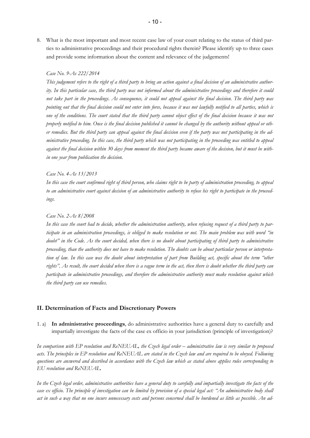8. What is the most important and most recent case law of your court relating to the status of third parties to administrative proceedings and their procedural rights therein? Please identify up to three cases and provide some information about the content and relevance of the judgements!

#### *Case No. 9-As 222/2014*

 *This judgement refers to the right of a third party to bring an action against a final decision of an administrative authority. In this particular case, the third party was not informed about the administrative proceedings and therefore it could not take part in the proceedings. As consequence, it could not appeal against the final decision. The third party was pointing out that the final decision could not enter into force, because it was not lawfully notified to all parties, which is one of the conditions. The court stated that the third party cannot object effect of the final decision because it was not properly notified to him. Once is the final decision published it cannot be changed by the authority without appeal or other remedies. But the third party can appeal against the final decision even if the party was not participating in the administrative proceeding. In this case, the third party which was not participating in the proceeding was entitled to appeal against the final decision within 30 days from moment the third party became aware of the decision, but it must be within one year from publication the decision.* 

#### *Case No. 4-As 13/2013*

 *In this case the court confirmed right of third person, who claims right to be party of administration proceeding, to appeal to an administrative court against decision of an administrative authority to refuse his right to participate in the proceedings.* 

#### *Case No. 2-As 8/2008*

*In this case the court had to decide, whether the administration authority, when refusing request of a third party to participate in an administration proceedings, is obliged to make resolution or not. The main problem was with word "in doubt" in the Code. As the court decided, when there is no doubt about participating of third party to administrative proceeding, than the authority does not have to make resolution. The doubts can be about particular person or interpretation of law. In this case was the doubt about interpretation of part from Building act, specific about the term "other rights". As result, the court decided when there is a vague term in the act, then there is doubt whether the third party can participate in administrative proceedings, and therefore the administrative authority must make resolution against which the third party can use remedies.* 

#### **II. Determination of Facts and Discretionary Powers**

1. a) **In administrative proceedings**, do administrative authorities have a general duty to carefully and impartially investigate the facts of the case ex officio in your jurisdiction (principle of investigation)?

*In comparison with EP resolution and ReNEUAL, the Czech legal order – administrative law is very similar to proposed acts. The principles in EP resolution and ReNEUAL are stated in the Czech law and are required to be obeyed. Following questions are answered and described in accordance with the Czech law which as stated above applies rules corresponding to EU resolution and ReNEUAL.* 

*In the Czech legal order, administrative authorities have a general duty to carefully and impartially investigate the facts of the case ex officio. The principle of investigation can be limited by provision of a special legal act: "An administrative body shall act in such a way that no one incurs unnecessary costs and persons concerned shall be burdened as little as possible. An ad-*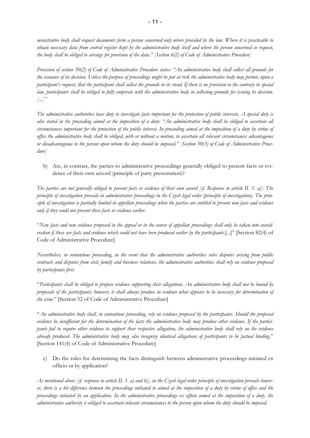*ministrative body shall request documents form a person concerned only where provided by the law. Where it is practicable to obtain necessary data from central register kept by the administrative body itself and where the person concerned so request, the body shall be obliged to arrange for provision of the data." [Section 6(2) of Code of Administrative Procedure]* 

*Provision of section 50(2) of Code of Administrative Procedure states: "An administrative body shall collect all grounds for the issuance of its decision. Unless the purpose of proceedings might be put at risk the administrative body may permit, upon a participant's request, that the participant shall collect the grounds in its stead. If there is no provision to the contrary in special law, participants shall be obliged to fully cooperate with the administrative body in collecting grounds for issuing its decision. [...]"* 

*The administrative authorities have duty to investigate facts important for the protection of public interests. A special duty is also stated in the proceeding aimed at the imposition of a duty: "An administrative body shall be obliged to ascertain all circumstances important for the protection of the public interest. In proceeding aimed at the imposition of a duty by virtue of office the administrative body shall be obliged, with or without a motion, to ascertain all relevant circumstances advantageous or disadvantageous to the person upon whom the duty should be imposed." [Section 50(3) of Code of Administrative Procedure]* 

b) Are, in contrast, the parties to administrative proceedings generally obliged to present facts or evidence of their own accord (principle of party presentation)?

*The parties are not generally obliged to present facts or evidence of their own accord [cf. Response to article II. 1. a)]. The principle of investigation prevails in administrative proceedings in the Czech legal order (principle of investigation). The principle of investigation is partially limited in appellate proceedings when the parties are entitled to present new facts and evidence only if they could not present these facts or evidence earlier.* 

"*New facts and new evidence proposed in the appeal or in the course of appellate proceedings shall only be taken into consideration if these are facts and evidence which could not have been produced earlier by the participants.*[...]" [Section 82(4) of Code of Administrative Procedure]

*Nevertheless, in contentious proceeding, in the event that the administrative authorities solve disputes arising from public contracts and disputes from civil, family and business relations, the administrative authorities shall rely on evidence proposed by participants first.* 

"*Participants shall be obliged to propose evidence supporting their allegations. An administrative body shall not be bound by proposals of the participants; however, it shall always produce in evidence what appears to be necessary for determination of the issue.*" [Section 52 of Code of Administrative Procedure]

"*An administrative body shall, in contentious proceeding, rely on evidence proposed by the participants. Should the proposed evidence be insufficient for the determination of the facts the administrative body may produce other evidence. If the participants fail to require other evidence to support their respective allegation, the administrative body shall rely on the evidence already produced. The administrative body may also recognize identical allegations of participants to be factual binding.*" [Section 141(4) of Code of Administrative Procedure]

c) Do the rules for determining the facts distinguish between administrative proceedings initiated ex officio or by application?

*As mentioned above [cf. response to article II. 1. a) and b)], in the Czech legal order principle of investigation prevails however, there is a bit difference between the proceedings initiated to aimed at the imposition of a duty by virtue of office and the proceedings initiated by an application. In the administrative proceedings ex officio aimed at the imposition of a duty, the administrative authority is obliged to ascertain relevant circumstances to the person upon whom the duty should be imposed.*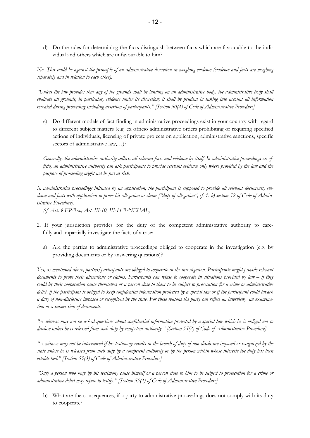d) Do the rules for determining the facts distinguish between facts which are favourable to the individual and others which are unfavourable to him?

*No. This could be against the principle of an administrative discretion in weighing evidence (evidence and facts are weighing separately and in relation to each other).* 

*"Unless the law provides that any of the grounds shall be binding on an administrative body, the administrative body shall evaluate all grounds, in particular, evidence under its discretion; it shall by prudent in taking into account all information revealed during proceeding including assertion of participants." [Section 50(4) of Code of Administrative Procedure]* 

e) Do different models of fact finding in administrative proceedings exist in your country with regard to different subject matters (e.g. ex officio administrative orders prohibiting or requiring specified actions of individuals, licensing of private projects on application, administrative sanctions, specific sectors of administrative law,...)?

*Generally, the administrative authority collects all relevant facts and evidence by itself. In administrative proceedings ex officio, an administrative authority can ask participants to provide relevant evidence only where provided by the law and the purpose of proceeding might not be put at risk.* 

*In administrative proceedings initiated by an application, the participant is supposed to provide all relevant documents, evidence and facts with application to prove his allegation or claim ["duty of allegation"; cf. 1. b) section 52 of Code of Administrative Procedure].* 

*(cf. Art. 9 EP-Res.; Art. III-10, III-11 ReNEUAL)* 

- 2. If your jurisdiction provides for the duty of the competent administrative authority to care fully and impartially investigate the facts of a case:
	- a) Are the parties to administrative proceedings obliged to cooperate in the investigation (e.g. by providing documents or by answering questions)?

*Yes, as mentioned above, parties/participants are obliged to cooperate in the investigation. Participants might provide relevant documents to prove their allegations or claims. Participants can refuse to cooperate in situations provided by law – if they could by their cooperation cause themselves or a person close to them to be subject to prosecution for a crime or administrative delict, if the participant is obliged to keep confidential information protected by a special law or if the participant could breach a duty of non-disclosure imposed or recognized by the state. For these reasons the party can refuse an interview, an examination or a submission of documents.* 

*"A witness may not be asked questions about confidential information protected by a special law which he is obliged not to disclose unless he is released from such duty by competent authority." [Section 55(2) of Code of Administrative Procedure]* 

*"A witness may not be interviewed if his testimony results in the breach of duty of non-disclosure imposed or recognized by the state unless he is released from such duty by a competent authority or by the person within whose interests the duty has been established." [Section 55(3) of Code of Administrative Procedure]* 

*"Only a person who may by his testimony cause himself or a person close to him to be subject to prosecution for a crime or administrative delict may refuse to testify." [Section 55(4) of Code of Administrative Procedure]* 

b) What are the consequences, if a party to administrative proceedings does not comply with its duty to cooperate?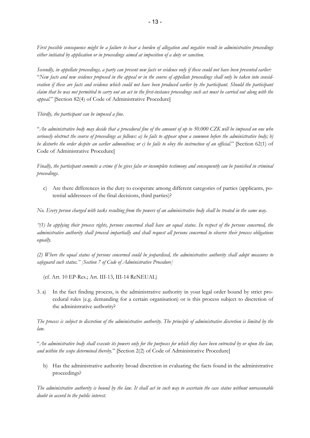*First possible consequence might be a failure to bear a burden of allegation and negative result in administrative proceedings either initiated by application or in proceedings aimed at imposition of a duty or sanction.* 

*Secondly, in appellate proceedings, a party can present new facts or evidence only if these could not have been presented earlier:*  "*New facts and new evidence proposed in the appeal or in the course of appellate proceedings shall only be taken into consideration if these are facts and evidence which could not have been produced earlier by the participant. Should the participant claim that he was not permitted to carry out an act in the first-instance proceedings such act must be carried out along with the appeal.*" [Section 82(4) of Code of Administrative Procedure]

*Thirdly, the participant can be imposed a fine.* 

"*An administrative body may decide that a procedural fine of the amount of up to 50.000 CZK will be imposed on one who seriously obstruct the course of proceedings as follows: a) he fails to appear upon a summon before the administrative body; b) he disturbs the order despite an earlier admonition; or c) he fails to obey the instruction of an official.*" [Section 62(1) of Code of Administrative Procedure]

*Finally, the participant commits a crime if he gives false or incomplete testimony and consequently can be punished in criminal proceedings.* 

c) Are there differences in the duty to cooperate among different categories of parties (applicants, potential addressees of the final decisions, third parties)?

*No. Every person charged with tasks resulting from the powers of an administrative body shall be treated in the same way.* 

*"(1) In applying their process rights, persons concerned shall have an equal status. In respect of the persons concerned, the administrative authority shall proceed impartially and shall request all persons concerned to observe their process obligations equally.* 

*(2) Where the equal status of persons concerned could be jeopardised, the administrative authority shall adopt measures to safeguard such status." [Section 7 of Code of Administrative Procedure]* 

(cf. Art. 10 EP-Res.; Art. III-13, III-14 ReNEUAL)

3. a) In the fact finding process, is the administrative authority in your legal order bound by strict procedural rules (e.g. demanding for a certain organisation) or is this process subject to discretion of the administrative authority?

*The process is subject to discretion of the administrative authority. The principle of administrative discretion is limited by the law.* 

"*An administrative body shall execute its powers only for the purposes for which they have been entrusted by or upon the law, and within the scope determined thereby.*" [Section 2(2) of Code of Administrative Procedure]

b) Has the administrative authority broad discretion in evaluating the facts found in the administrative proceedings?

*The administrative authority is bound by the law. It shall act in such way to ascertain the case status without unreasonable doubt in accord to the public interest.*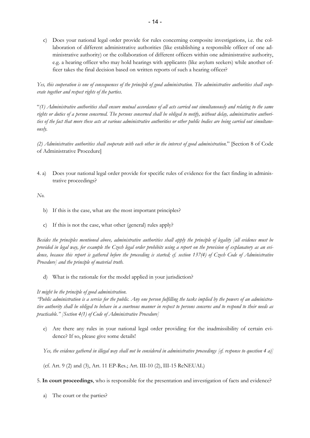c) Does your national legal order provide for rules concerning composite investigations, i.e. the collaboration of different administrative authorities (like establishing a responsible officer of one administrative authority) or the collaboration of different officers within one administrative authority, e.g. a hearing officer who may hold hearings with applicants (like asylum seekers) while another officer takes the final decision based on written reports of such a hearing officer?

*Yes, this cooperation is one of consequences of the principle of good administration. The administrative authorities shall cooperate together and respect rights of the parties.* 

"*(1) Administrative authorities shall ensure mutual accordance of all acts carried out simultaneously and relating to the same rights or duties of a person concerned. The persons concerned shall be obliged to notify, without delay, administrative authorities of the fact that more these acts at various administrative authorities or other public bodies are being carried out simultaneously.* 

*(2) Administrative authorities shall cooperate with each other in the interest of good administration.*" [Section 8 of Code of Administrative Procedure]

4. a) Does your national legal order provide for specific rules of evidence for the fact finding in administrative proceedings?

#### *No.*

- b) If this is the case, what are the most important principles?
- c) If this is not the case, what other (general) rules apply?

*Besides the principles mentioned above, administrative authorities shall apply the principle of legality [all evidence must be provided in legal way, for example the Czech legal order prohibits using a report on the provision of explanatory as an evidence, because this report is gathered before the proceeding is started; cf. section 137(4) of Czech Code of Administrative Procedure] and the principle of material truth.* 

d) What is the rationale for the model applied in your jurisdiction?

#### *It might be the principle of good administration.*

*"Public administration is a service for the public. Any one person fulfilling the tasks implied by the powers of an administrative authority shall be obliged to behave in a courteous manner in respect to persons concerns and to respond to their needs as practicable." [Section 4(1) of Code of Administrative Procedure]* 

e) Are there any rules in your national legal order providing for the inadmissibility of certain evidence? If so, please give some details!

*Yes, the evidence gathered in illegal way shall not be considered in administrative proceedings [cf. response to question 4 a)]* 

(cf. Art. 9 (2) and (3), Art. 11 EP-Res.; Art. III-10 (2), III-15 ReNEUAL)

- 5. **In court proceedings**, who is responsible for the presentation and investigation of facts and evidence?
	- a) The court or the parties?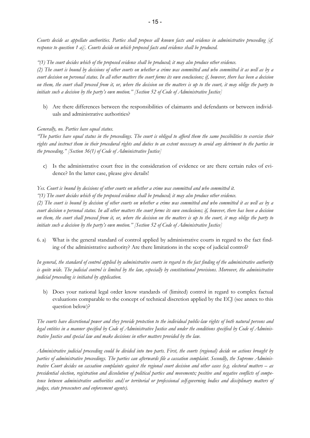*Courts decide as appellate authorities. Parties shall propose all known facts and evidence in administrative proceeding [cf. response to question 1 a)]. Courts decide on which proposed facts and evidence shall be produced.* 

*"(1) The court decides which of the proposed evidence shall be produced; it may also produce other evidence.* 

*(2) The court is bound by decisions of other courts on whether a crime was committed and who committed it as well as by a court decision on personal status. In all other matters the court forms its own conclusions; if, however, there has been a decision on them, the court shall proceed from it, or, where the decision on the matters is up to the court, it may oblige the party to initiate such a decision by the party's own motion." [Section 52 of Code of Administrative Justice]* 

b) Are there differences between the responsibilities of claimants and defendants or between individuals and administrative authorities?

#### *Generally, no. Parties have equal status.*

*"The parties have equal status in the proceedings. The court is obliged to afford them the same possibilities to exercise their rights and instruct them in their procedural rights and duties to an extent necessary to avoid any detriment to the parties in the proceeding." [Section 36(1) of Code of Administrative Justice]* 

c) Is the administrative court free in the consideration of evidence or are there certain rules of evidence? In the latter case, please give details!

#### *Yes. Court is bound by decisions of other courts on whether a crime was committed and who committed it.*

*"(1) The court decides which of the proposed evidence shall be produced; it may also produce other evidence.* 

*(2) The court is bound by decision of other courts on whether a crime was committed and who committed it as well as by a court decision o personal status. In all other matters the court forms its own conclusions; if, however, there has been a decision on them, the court shall proceed from it, or, where the decision on the matters is up to the court, it may oblige the party to initiate such a decision by the party's own motion." [Section 52 of Code of Administrative Justice]* 

6. a) What is the general standard of control applied by administrative courts in regard to the fact finding of the administrative authority? Are there limitations in the scope of judicial control?

*In general, the standard of control applied by administrative courts in regard to the fact finding of the administrative authority is quite wide. The judicial control is limited by the law, especially by constitutional provisions. Moreover, the administrative judicial proceeding is initiated by application.* 

b) Does your national legal order know standards of (limited) control in regard to complex factual evaluations comparable to the concept of technical discretion applied by the ECJ (see annex to this question below)?

*The courts have discretional power and they provide protection to the individual public-law rights of both natural persons and legal entities in a manner specified by Code of Administrative Justice and under the conditions specified by Code of Administrative Justice and special law and make decisions in other matters provided by the law.* 

*Administrative judicial proceeding could be divided into two parts. First, the courts (regional) decide on actions brought by parties of administrative proceedings. The parties can afterwards file a cassation complaint. Secondly, the Supreme Administrative Court decides on cassation complaints against the regional court decision and other cases (e.g. electoral matters – as presidential election, registration and dissolution of political parties and movements; positive and negative conflicts of competence between administrative authorities and/or territorial or professional self-governing bodies and disciplinary matters of judges, state prosecutors and enforcement agents).*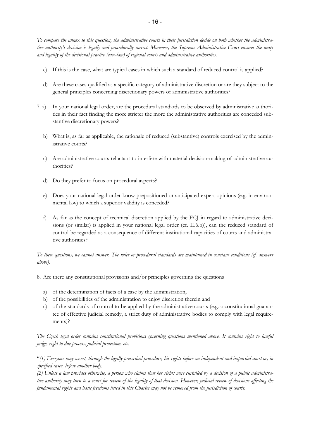*To compare the annex to this question, the administrative courts in their jurisdiction decide on both whether the administrative authority's decision is legally and procedurally correct. Moreover, the Supreme Administrative Court ensures the unity and legality of the decisional practice (case-law) of regional courts and administrative authorities.* 

- c) If this is the case, what are typical cases in which such a standard of reduced control is applied?
- d) Are these cases qualified as a specific category of administrative discretion or are they subject to the general principles concerning discretionary powers of administrative authorities?
- 7. a) In your national legal order, are the procedural standards to be observed by administrative authorities in their fact finding the more stricter the more the administrative authorities are conceded substantive discretionary powers?
	- b) What is, as far as applicable, the rationale of reduced (substantive) controls exercised by the administrative courts?
	- c) Are administrative courts reluctant to interfere with material decision-making of administrative authorities?
	- d) Do they prefer to focus on procedural aspects?
	- e) Does your national legal order know prepositioned or anticipated expert opinions (e.g. in environmental law) to which a superior validity is conceded?
	- f) As far as the concept of technical discretion applied by the ECJ in regard to administrative decisions (or similar) is applied in your national legal order (cf. II.6.b)), can the reduced standard of control be regarded as a consequence of different institutional capacities of courts and administrative authorities?

*To these questions, we cannot answer. The rules or procedural standards are maintained in constant conditions (cf. answers above).* 

8. Are there any constitutional provisions and/or principles governing the questions

- a) of the determination of facts of a case by the administration,
- b) of the possibilities of the administration to enjoy discretion therein and
- c) of the standards of control to be applied by the administrative courts (e.g. a constitutional guarantee of effective judicial remedy, a strict duty of administrative bodies to comply with legal requirements)?

*The Czech legal order contains constitutional provisions governing questions mentioned above. It contains right to lawful judge, right to due process, judicial protection, etc.* 

"*(1) Everyone may assert, through the legally prescribed procedure, his rights before an independent and impartial court or, in specified cases, before another body.* 

*(2) Unless a law provides otherwise, a person who claims that her rights were curtailed by a decision of a public administrative authority may turn to a court for review of the legality of that decision. However, judicial review of decisions affecting the fundamental rights and basic freedoms listed in this Charter may not be removed from the jurisdiction of courts.*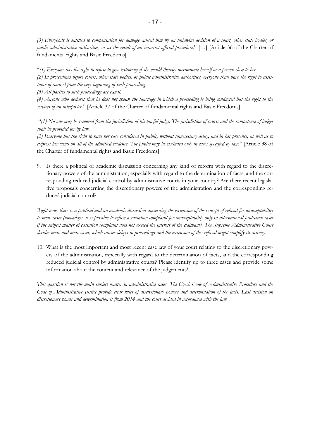*(3) Everybody is entitled to compensation for damage caused him by an unlawful decision of a court, other state bodies, or public administrative authorities, or as the result of an incorrect official procedure.*" […] [Article 36 of the Charter of fundamental rights and Basic Freedoms]

"*(1) Everyone has the right to refuse to give testimony if she would thereby incriminate herself or a person close to her. (2) In proceedings before courts, other state bodies, or public administrative authorities, everyone shall have the right to assistance of counsel from the very beginning of such proceedings.* 

*(3) All parties to such proceedings are equal.* 

*(4) Anyone who declares that he does not speak the language in which a proceeding is being conducted has the right to the services of an interpreter.*" [Article 37 of the Charter of fundamental rights and Basic Freedoms]

 "*(1) No one may be removed from the jurisdiction of his lawful judge. The jurisdiction of courts and the competence of judges shall be provided for by law.* 

*(2) Everyone has the right to have her case considered in public, without unnecessary delay, and in her presence, as well as to express her views on all of the admitted evidence. The public may be excluded only in cases specified by law.*" [Article 38 of the Charter of fundamental rights and Basic Freedoms]

9. Is there a political or academic discussion concerning any kind of reform with regard to the discretionary powers of the administration, especially with regard to the determination of facts, and the corresponding reduced judicial control by administrative courts in your country? Are there recent legislative proposals concerning the discretionary powers of the administration and the corresponding reduced judicial control?

*Right now, there is a political and an academic discussion concerning the extension of the concept of refusal for unacceptability to more cases (nowadays, it is possible to refuse a cassation complaint for unacceptability only in international protection cases if the subject matter of cassation complaint does not exceed the interest of the claimant). The Supreme Administrative Court decides more and more cases, which causes delays in proceedings and the extension of this refusal might simplify its activity.* 

10. What is the most important and most recent case law of your court relating to the discretionary powers of the administration, especially with regard to the determination of facts, and the corresponding reduced judicial control by administrative courts? Please identify up to three cases and provide some information about the content and relevance of the judgements!

*This question is not the main subject matter in administrative cases. The Czech Code of Administrative Procedure and the Code of Administrative Justice provide clear rules of discretionary powers and determination of the facts. Last decision on discretionary power and determination is from 2014 and the court decided in accordance with the law.*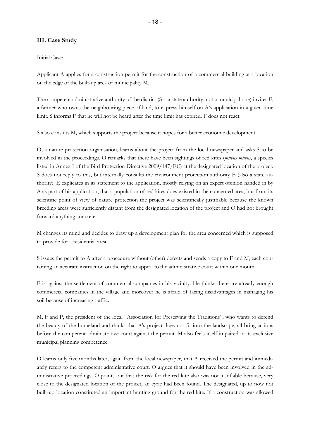#### **III. Case Study**

#### Initial Case:

Applicant A applies for a construction permit for the construction of a commercial building at a location on the edge of the built-up area of municipality M.

The competent administrative authority of the district (S – a state authority, not a municipal one) invites F, a farmer who owns the neighbouring piece of land, to express himself on A's application in a given time limit. S informs F that he will not be heard after the time limit has expired. F does not react.

S also consults M, which supports the project because it hopes for a better economic development.

O, a nature protection organisation, learns about the project from the local newspaper and asks S to be involved in the proceedings. O remarks that there have been sightings of red kites (*milvus milvus*, a species listed in Annex I of the Bird Protection Directive 2009/147/EC) at the designated location of the project. S does not reply to this, but internally consults the environment protection authority E (also a state authority). E explicates in its statement to the application, mostly relying on an expert opinion handed in by A as part of his application, that a population of red kites does existed in the concerned area, but from its scientific point of view of nature protection the project was scientifically justifiable because the known breeding areas were sufficiently distant from the designated location of the project and O had not brought forward anything concrete.

M changes its mind and decides to draw up a development plan for the area concerned which is supposed to provide for a residential area.

S issues the permit to A after a procedure without (other) defects and sends a copy to F and M, each containing an accurate instruction on the right to appeal to the administrative court within one month.

F is against the settlement of commercial companies in his vicinity. He thinks there are already enough commercial companies in the village and moreover he is afraid of facing disadvantages in managing his soil because of increasing traffic.

M, F and P, the president of the local "Association for Preserving the Traditions", who wants to defend the beauty of the homeland and thinks that A's project does not fit into the landscape, all bring actions before the competent administrative court against the permit. M also feels itself impaired in its exclusive municipal planning competence.

O learns only five months later, again from the local newspaper, that A received the permit and immediately refers to the competent administrative court. O argues that it should have been involved in the administrative proceedings. O points out that the risk for the red kite also was not justifiable because, very close to the designated location of the project, an eyrie had been found. The designated, up to now not built-up location constituted an important hunting ground for the red kite. If a construction was allowed